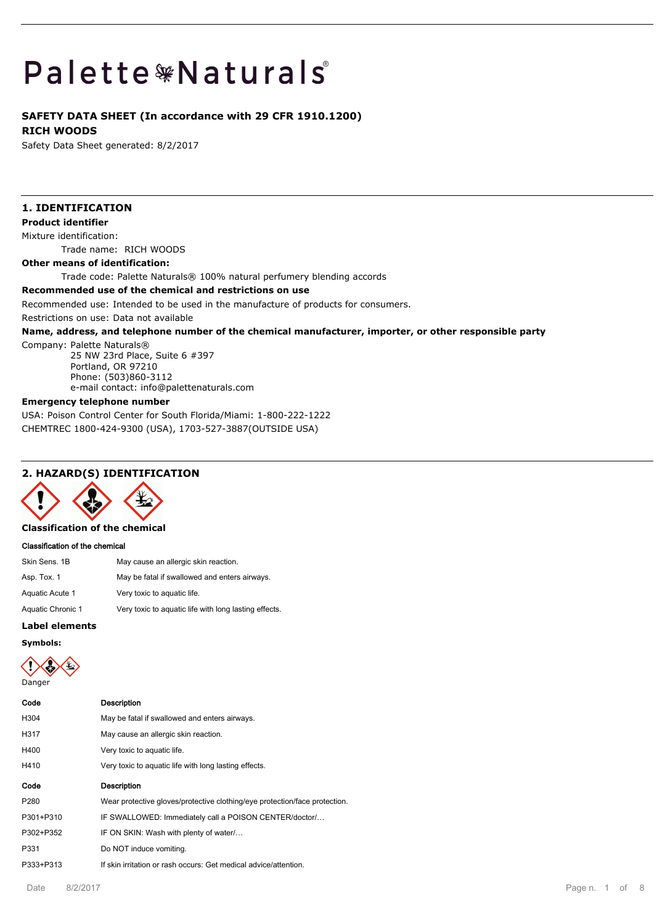# **Palette \*Naturals**

## **SAFETY DATA SHEET (In accordance with 29 CFR 1910.1200) RICH WOODS**

Safety Data Sheet generated: 8/2/2017

## **1. IDENTIFICATION**

## **Product identifier**

Mixture identification:

Trade name: RICH WOODS

#### **Other means of identification:**

Trade code: Palette Naturals® 100% natural perfumery blending accords

#### **Recommended use of the chemical and restrictions on use**

Recommended use: Intended to be used in the manufacture of products for consumers.

Restrictions on use: Data not available

#### **Name, address, and telephone number of the chemical manufacturer, importer, or other responsible party**

Company: Palette Naturals®

25 NW 23rd Place, Suite 6 #397 Portland, OR 97210 Phone: (503)860-3112 e-mail contact: info@palettenaturals.com

#### **Emergency telephone number**

USA: Poison Control Center for South Florida/Miami: 1-800-222-1222 CHEMTREC 1800-424-9300 (USA), 1703-527-3887(OUTSIDE USA)

## **2. HAZARD(S) IDENTIFICATION**



**Classification of the chemical**

#### **Classification of the chemical**

| Skin Sens. 1B     | May cause an allergic skin reaction.                  |
|-------------------|-------------------------------------------------------|
| Asp. Tox. 1       | May be fatal if swallowed and enters airways.         |
| Aquatic Acute 1   | Very toxic to aquatic life.                           |
| Aquatic Chronic 1 | Very toxic to aquatic life with long lasting effects. |
|                   |                                                       |

#### **Label elements**

**Symbols:**



## **Code Description** H304 May be fatal if swallowed and enters airways. H317 May cause an allergic skin reaction.

- H400 Very toxic to aquatic life.
- H410 Very toxic to aquatic life with long lasting effects.

## **Code Description** P280 Wear protective gloves/protective clothing/eye protection/face protection.

P301+P310 IF SWALLOWED: Immediately call a POISON CENTER/doctor/...

- P302+P352 IF ON SKIN: Wash with plenty of water/…
- P331 Do NOT induce vomiting.
- P333+P313 If skin irritation or rash occurs: Get medical advice/attention.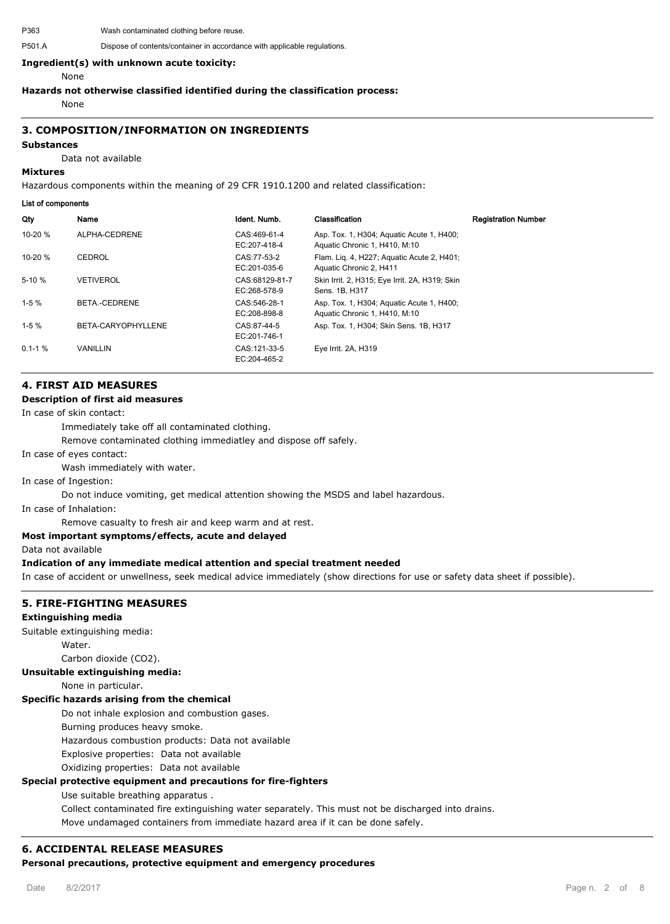P363 Wash contaminated clothing before reuse.

#### **Ingredient(s) with unknown acute toxicity:**

None

#### **Hazards not otherwise classified identified during the classification process:**

None

### **3. COMPOSITION/INFORMATION ON INGREDIENTS**

#### **Substances**

Data not available

#### **Mixtures**

Hazardous components within the meaning of 29 CFR 1910.1200 and related classification:

#### **List of components**

| Qty         | Name               | Ident. Numb.                   | Classification                                                             | <b>Registration Number</b> |
|-------------|--------------------|--------------------------------|----------------------------------------------------------------------------|----------------------------|
| $10-20%$    | ALPHA-CEDRENE      | CAS:469-61-4<br>EC:207-418-4   | Asp. Tox. 1, H304; Aquatic Acute 1, H400;<br>Aquatic Chronic 1, H410, M:10 |                            |
| 10-20 $%$   | CEDROL             | CAS:77-53-2<br>EC:201-035-6    | Flam. Lig. 4, H227; Aguatic Acute 2, H401;<br>Aquatic Chronic 2, H411      |                            |
| $5-10%$     | VETIVEROL          | CAS:68129-81-7<br>EC:268-578-9 | Skin Irrit. 2, H315; Eye Irrit. 2A, H319; Skin<br>Sens. 1B, H317           |                            |
| $1-5%$      | BETA.-CEDRENE      | CAS:546-28-1<br>EC:208-898-8   | Asp. Tox. 1, H304; Aquatic Acute 1, H400;<br>Aquatic Chronic 1, H410, M:10 |                            |
| $1-5%$      | BETA-CARYOPHYLLENE | CAS:87-44-5<br>EC:201-746-1    | Asp. Tox. 1, H304; Skin Sens. 1B, H317                                     |                            |
| $0.1 - 1\%$ | <b>VANILLIN</b>    | CAS: 121-33-5<br>EC:204-465-2  | Eye Irrit. 2A, H319                                                        |                            |

## **4. FIRST AID MEASURES**

#### **Description of first aid measures**

In case of skin contact:

Immediately take off all contaminated clothing.

Remove contaminated clothing immediatley and dispose off safely.

In case of eyes contact:

Wash immediately with water.

In case of Ingestion:

Do not induce vomiting, get medical attention showing the MSDS and label hazardous.

In case of Inhalation:

Remove casualty to fresh air and keep warm and at rest.

## **Most important symptoms/effects, acute and delayed**

Data not available

#### **Indication of any immediate medical attention and special treatment needed**

In case of accident or unwellness, seek medical advice immediately (show directions for use or safety data sheet if possible).

#### **5. FIRE-FIGHTING MEASURES**

#### **Extinguishing media**

Suitable extinguishing media:

Water

Carbon dioxide (CO2).

#### **Unsuitable extinguishing media:**

None in particular.

#### **Specific hazards arising from the chemical**

Do not inhale explosion and combustion gases.

Burning produces heavy smoke.

Hazardous combustion products: Data not available

Explosive properties: Data not available

Oxidizing properties: Data not available

#### **Special protective equipment and precautions for fire-fighters**

Use suitable breathing apparatus .

Collect contaminated fire extinguishing water separately. This must not be discharged into drains.

Move undamaged containers from immediate hazard area if it can be done safely.

## **6. ACCIDENTAL RELEASE MEASURES**

**Personal precautions, protective equipment and emergency procedures**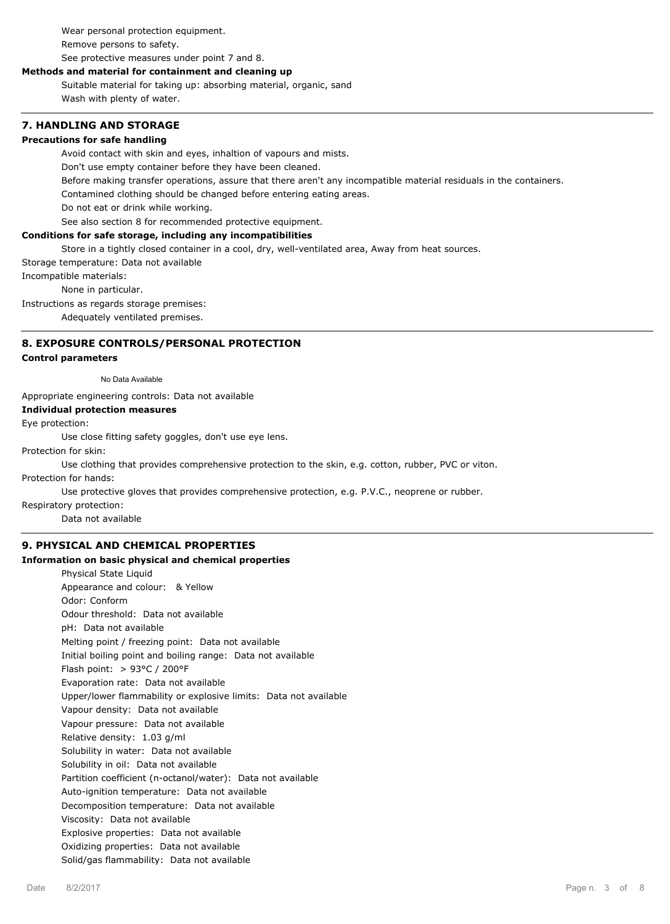Wear personal protection equipment. Remove persons to safety.

See protective measures under point 7 and 8.

## **Methods and material for containment and cleaning up**

Suitable material for taking up: absorbing material, organic, sand Wash with plenty of water.

## **7. HANDLING AND STORAGE**

## **Precautions for safe handling**

Avoid contact with skin and eyes, inhaltion of vapours and mists.

Don't use empty container before they have been cleaned.

Before making transfer operations, assure that there aren't any incompatible material residuals in the containers.

Contamined clothing should be changed before entering eating areas.

Do not eat or drink while working.

See also section 8 for recommended protective equipment.

## **Conditions for safe storage, including any incompatibilities**

Store in a tightly closed container in a cool, dry, well-ventilated area, Away from heat sources.

Storage temperature: Data not available

Incompatible materials:

None in particular.

Instructions as regards storage premises:

Adequately ventilated premises.

## **8. EXPOSURE CONTROLS/PERSONAL PROTECTION**

#### **Control parameters**

No Data Available

Appropriate engineering controls: Data not available

#### **Individual protection measures**

Eye protection:

Use close fitting safety goggles, don't use eye lens.

Protection for skin:

Use clothing that provides comprehensive protection to the skin, e.g. cotton, rubber, PVC or viton.

Protection for hands:

Use protective gloves that provides comprehensive protection, e.g. P.V.C., neoprene or rubber.

Respiratory protection:

Data not available

## **9. PHYSICAL AND CHEMICAL PROPERTIES**

#### **Information on basic physical and chemical properties**

Physical State Liquid Appearance and colour: & Yellow Odor: Conform Odour threshold: Data not available pH: Data not available Melting point / freezing point: Data not available Initial boiling point and boiling range: Data not available Flash point: > 93°C / 200°F Evaporation rate: Data not available Upper/lower flammability or explosive limits: Data not available Vapour density: Data not available Vapour pressure: Data not available Relative density: 1.03 g/ml Solubility in water: Data not available Solubility in oil: Data not available Partition coefficient (n-octanol/water): Data not available Auto-ignition temperature: Data not available Decomposition temperature: Data not available Viscosity: Data not available Explosive properties: Data not available Oxidizing properties: Data not available Solid/gas flammability: Data not available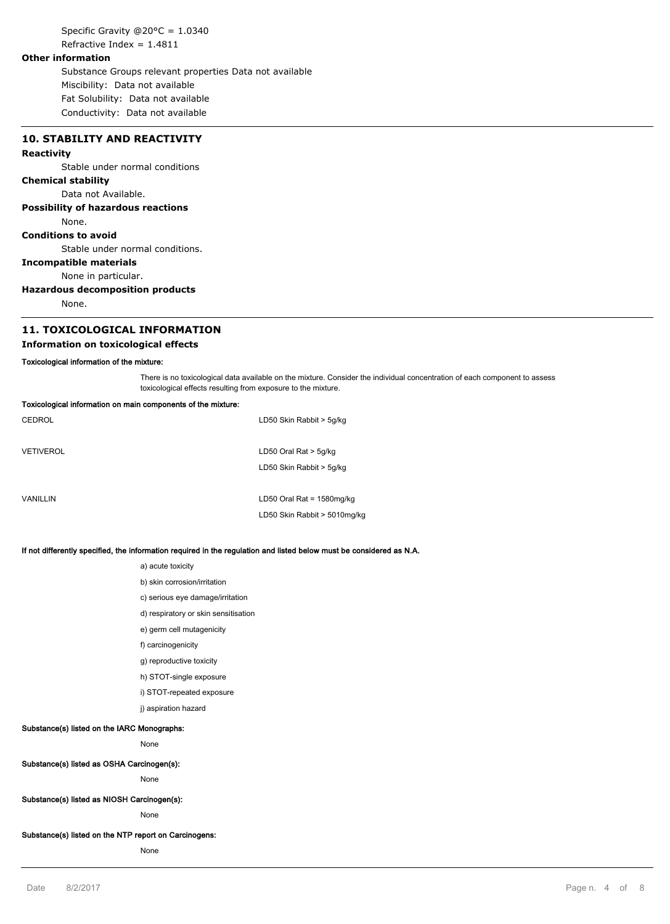Specific Gravity @20°C = 1.0340 Refractive Index =  $1.4811$ 

#### **Other information**

Substance Groups relevant properties Data not available Miscibility: Data not available Fat Solubility: Data not available Conductivity: Data not available

**10. STABILITY AND REACTIVITY**

## **Reactivity**

Stable under normal conditions

#### **Chemical stability**

Data not Available.

#### **Possibility of hazardous reactions**

None.

## **Conditions to avoid**

Stable under normal conditions.

#### **Incompatible materials**

None in particular.

#### **Hazardous decomposition products**

None.

## **11. TOXICOLOGICAL INFORMATION**

## **Information on toxicological effects**

#### **Toxicological information of the mixture:**

There is no toxicological data available on the mixture. Consider the individual concentration of each component to assess toxicological effects resulting from exposure to the mixture.

| Toxicological information on main components of the mixture: |                              |  |
|--------------------------------------------------------------|------------------------------|--|
| CEDROL                                                       | LD50 Skin Rabbit > 5g/kg     |  |
|                                                              |                              |  |
| VETIVEROL                                                    | LD50 Oral Rat $>$ 5g/kg      |  |
|                                                              | LD50 Skin Rabbit > 5g/kg     |  |
|                                                              |                              |  |
| VANILLIN                                                     | LD50 Oral Rat = $1580$ mg/kg |  |
|                                                              | LD50 Skin Rabbit > 5010mg/kg |  |
|                                                              |                              |  |

#### **If not differently specified, the information required in the regulation and listed below must be considered as N.A.**

- a) acute toxicity
- b) skin corrosion/irritation
- c) serious eye damage/irritation
- d) respiratory or skin sensitisation
- e) germ cell mutagenicity
- f) carcinogenicity
- g) reproductive toxicity
- h) STOT-single exposure
- i) STOT-repeated exposure
- j) aspiration hazard

#### **Substance(s) listed on the IARC Monographs:**

None

## **Substance(s) listed as OSHA Carcinogen(s):**

None

#### **Substance(s) listed as NIOSH Carcinogen(s):**

None

## **Substance(s) listed on the NTP report on Carcinogens:**

None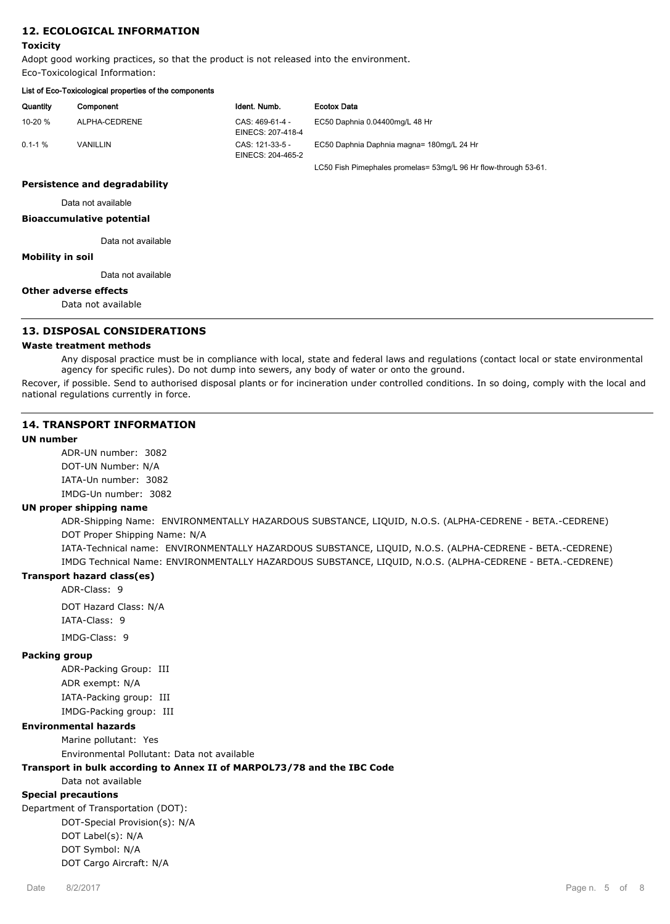## **12. ECOLOGICAL INFORMATION**

#### **Toxicity**

Adopt good working practices, so that the product is not released into the environment. Eco-Toxicological Information:

| List of Eco-Toxicological properties of the components |               |                                      |                                                                 |
|--------------------------------------------------------|---------------|--------------------------------------|-----------------------------------------------------------------|
| Quantity                                               | Component     | Ident. Numb.                         | <b>Ecotox Data</b>                                              |
| 10-20 $%$                                              | ALPHA-CEDRENE | CAS: 469-61-4 -<br>EINECS: 207-418-4 | EC50 Daphnia 0.04400mg/L 48 Hr                                  |
| $0.1 - 1 \%$                                           | VANILLIN      | CAS: 121-33-5 -<br>EINECS: 204-465-2 | EC50 Daphnia Daphnia magna= 180mg/L 24 Hr                       |
|                                                        |               |                                      | LC50 Fish Pimephales promelas= 53mg/L 96 Hr flow-through 53-61. |

#### **Persistence and degradability**

Data not available

#### **Bioaccumulative potential**

Data not available

#### **Mobility in soil**

Data not available

#### **Other adverse effects**

Data not available

## **13. DISPOSAL CONSIDERATIONS**

#### **Waste treatment methods**

Any disposal practice must be in compliance with local, state and federal laws and regulations (contact local or state environmental agency for specific rules). Do not dump into sewers, any body of water or onto the ground.

Recover, if possible. Send to authorised disposal plants or for incineration under controlled conditions. In so doing, comply with the local and national regulations currently in force.

### **14. TRANSPORT INFORMATION**

## **UN number**

ADR-UN number: 3082 DOT-UN Number: N/A IATA-Un number: 3082 IMDG-Un number: 3082

#### **UN proper shipping name**

ADR-Shipping Name: ENVIRONMENTALLY HAZARDOUS SUBSTANCE, LIQUID, N.O.S. (ALPHA-CEDRENE - BETA.-CEDRENE) DOT Proper Shipping Name: N/A

IATA-Technical name: ENVIRONMENTALLY HAZARDOUS SUBSTANCE, LIQUID, N.O.S. (ALPHA-CEDRENE - BETA.-CEDRENE) IMDG Technical Name: ENVIRONMENTALLY HAZARDOUS SUBSTANCE, LIQUID, N.O.S. (ALPHA-CEDRENE - BETA.-CEDRENE)

## **Transport hazard class(es)**

ADR-Class: 9

DOT Hazard Class: N/A IATA-Class: 9

IMDG-Class: 9

#### **Packing group**

ADR-Packing Group: III ADR exempt: N/A IATA-Packing group: III IMDG-Packing group: III

#### **Environmental hazards**

Marine pollutant: Yes

Environmental Pollutant: Data not available

### **Transport in bulk according to Annex II of MARPOL73/78 and the IBC Code**

Data not available

#### **Special precautions**

Department of Transportation (DOT): DOT-Special Provision(s): N/A DOT Label(s): N/A DOT Symbol: N/A DOT Cargo Aircraft: N/A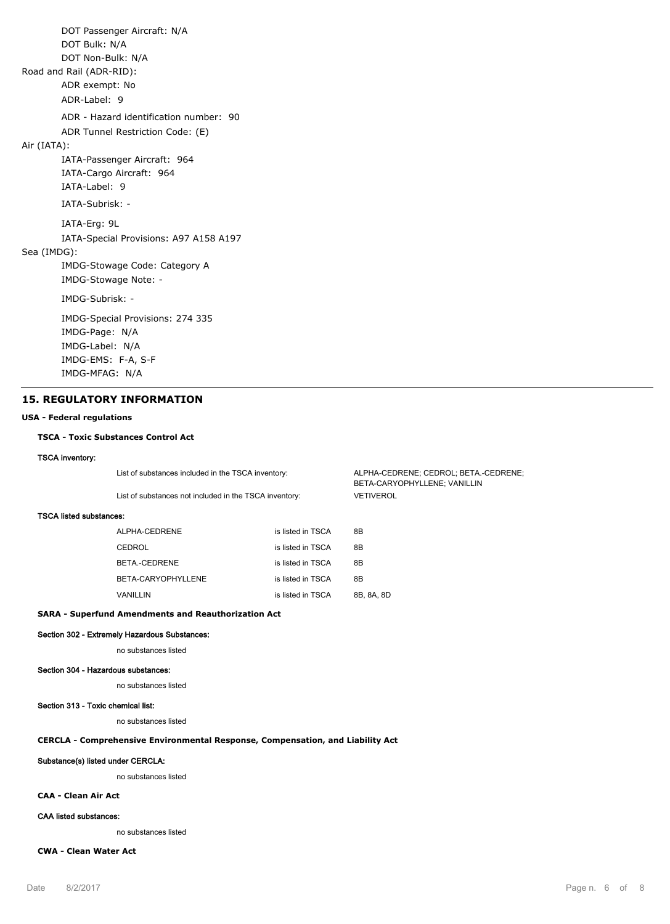DOT Passenger Aircraft: N/A DOT Bulk: N/A DOT Non-Bulk: N/A Road and Rail (ADR-RID): ADR exempt: No ADR-Label: 9 ADR - Hazard identification number: 90 ADR Tunnel Restriction Code: (E) Air (IATA): IATA-Passenger Aircraft: 964 IATA-Cargo Aircraft: 964 IATA-Label: 9 IATA-Subrisk: - IATA-Erg: 9L IATA-Special Provisions: A97 A158 A197 Sea (IMDG): IMDG-Stowage Code: Category A IMDG-Stowage Note: - IMDG-Subrisk: - IMDG-Special Provisions: 274 335 IMDG-Page: N/A IMDG-Label: N/A IMDG-EMS: F-A, S-F IMDG-MFAG: N/A

#### **15. REGULATORY INFORMATION**

#### **USA - Federal regulations**

#### **TSCA - Toxic Substances Control Act**

#### **TSCA inventory:**

|                                | List of substances included in the TSCA inventory:<br>List of substances not included in the TSCA inventory: |                   | ALPHA-CEDRENE; CEDROL; BETA.-CEDRENE;<br>BETA-CARYOPHYLLENE; VANILLIN |  |
|--------------------------------|--------------------------------------------------------------------------------------------------------------|-------------------|-----------------------------------------------------------------------|--|
|                                |                                                                                                              |                   | <b>VETIVEROL</b>                                                      |  |
| <b>TSCA listed substances:</b> |                                                                                                              |                   |                                                                       |  |
|                                | ALPHA-CEDRENE                                                                                                | is listed in TSCA | 8B                                                                    |  |
|                                | CEDROL                                                                                                       | is listed in TSCA | 8B                                                                    |  |
|                                | BETA.-CEDRENE                                                                                                | is listed in TSCA | 8B                                                                    |  |
|                                | BETA-CARYOPHYLLENE                                                                                           | is listed in TSCA | 8B                                                                    |  |
|                                | VANILLIN                                                                                                     | is listed in TSCA | 8B, 8A, 8D                                                            |  |

#### **SARA - Superfund Amendments and Reauthorization Act**

**Section 302 - Extremely Hazardous Substances:**

#### no substances listed

#### **Section 304 - Hazardous substances:**

no substances listed

### **Section 313 - Toxic chemical list:**

no substances listed

## **CERCLA - Comprehensive Environmental Response, Compensation, and Liability Act**

#### **Substance(s) listed under CERCLA:**

no substances listed

## **CAA - Clean Air Act**

#### **CAA listed substances:**

no substances listed

## **CWA - Clean Water Act**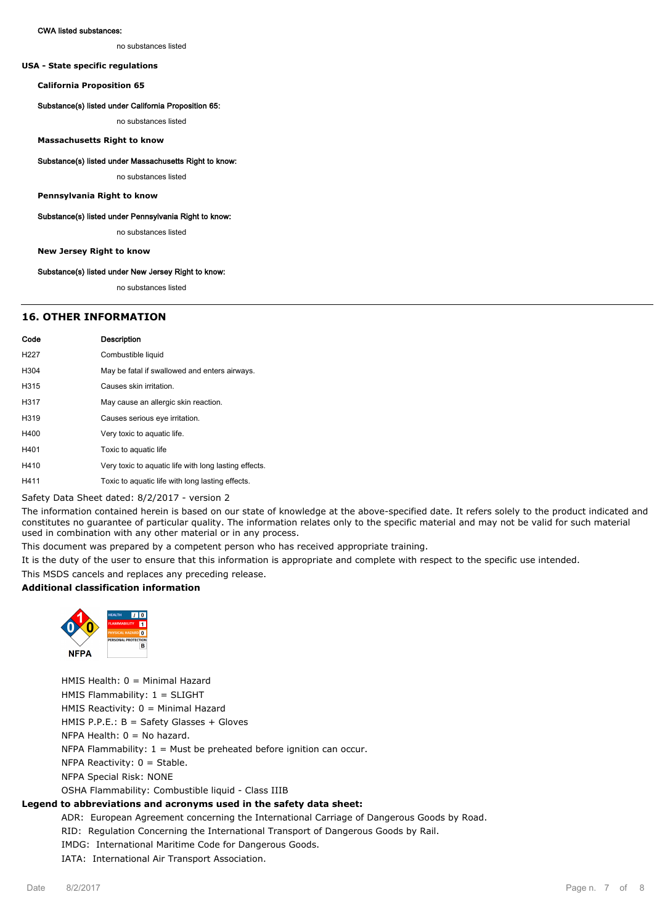#### **CWA listed substances:**

no substances listed

#### **USA - State specific regulations**

**California Proposition 65**

#### **Substance(s) listed under California Proposition 65:**

no substances listed

#### **Massachusetts Right to know**

#### **Substance(s) listed under Massachusetts Right to know:**

no substances listed

#### **Pennsylvania Right to know**

#### **Substance(s) listed under Pennsylvania Right to know:**

no substances listed

#### **New Jersey Right to know**

#### **Substance(s) listed under New Jersey Right to know:**

no substances listed

## **16. OTHER INFORMATION**

| Code             | Description                                           |
|------------------|-------------------------------------------------------|
| H <sub>227</sub> | Combustible liquid                                    |
| H304             | May be fatal if swallowed and enters airways.         |
| H315             | Causes skin irritation.                               |
| H317             | May cause an allergic skin reaction.                  |
| H <sub>319</sub> | Causes serious eye irritation.                        |
| H400             | Very toxic to aquatic life.                           |
| H401             | Toxic to aquatic life                                 |
| H410             | Very toxic to aquatic life with long lasting effects. |
| H411             | Toxic to aquatic life with long lasting effects.      |

Safety Data Sheet dated: 8/2/2017 - version 2

The information contained herein is based on our state of knowledge at the above-specified date. It refers solely to the product indicated and constitutes no guarantee of particular quality. The information relates only to the specific material and may not be valid for such material used in combination with any other material or in any process.

This document was prepared by a competent person who has received appropriate training.

It is the duty of the user to ensure that this information is appropriate and complete with respect to the specific use intended.

This MSDS cancels and replaces any preceding release.

#### **Additional classification information**



HMIS Health: 0 = Minimal Hazard HMIS Flammability: 1 = SLIGHT HMIS Reactivity: 0 = Minimal Hazard HMIS P.P.E.: B = Safety Glasses + Gloves NFPA Health: 0 = No hazard. NFPA Flammability:  $1 =$  Must be preheated before ignition can occur. NFPA Reactivity: 0 = Stable. NFPA Special Risk: NONE OSHA Flammability: Combustible liquid - Class IIIB

#### **Legend to abbreviations and acronyms used in the safety data sheet:**

ADR: European Agreement concerning the International Carriage of Dangerous Goods by Road.

RID: Regulation Concerning the International Transport of Dangerous Goods by Rail.

IMDG: International Maritime Code for Dangerous Goods.

IATA: International Air Transport Association.